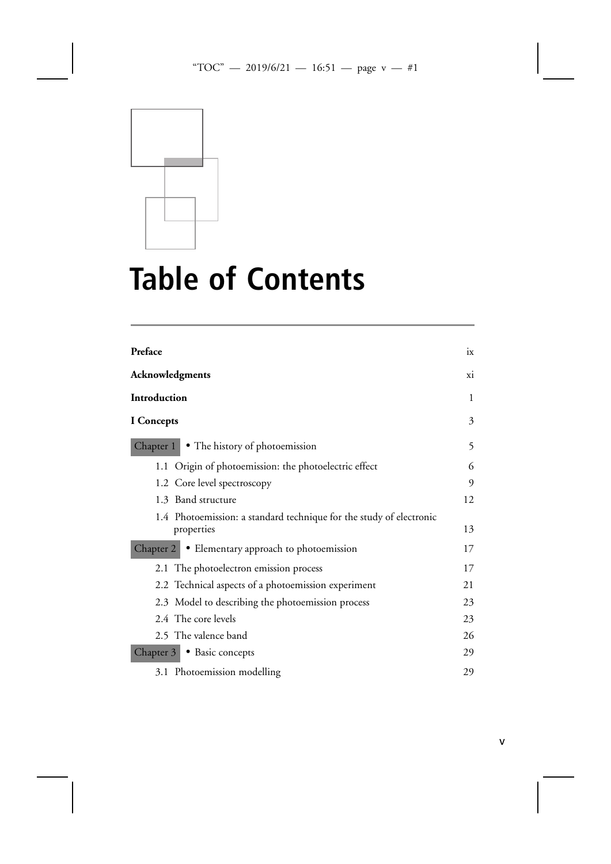

## **Table of Contents**

| Preface           |                                                                                   | ix |
|-------------------|-----------------------------------------------------------------------------------|----|
|                   | Acknowledgments                                                                   | xi |
| Introduction      |                                                                                   | 1  |
| <b>I</b> Concepts |                                                                                   | 3  |
| Chapter 1         | • The history of photoemission                                                    | 5  |
|                   | 1.1 Origin of photoemission: the photoelectric effect                             | 6  |
|                   | 1.2 Core level spectroscopy                                                       | 9  |
|                   | 1.3 Band structure                                                                | 12 |
|                   | 1.4 Photoemission: a standard technique for the study of electronic<br>properties | 13 |
| Chapter 2         | · Elementary approach to photoemission                                            | 17 |
|                   | 2.1 The photoelectron emission process                                            | 17 |
|                   | 2.2 Technical aspects of a photoemission experiment                               | 21 |
|                   | 2.3 Model to describing the photoemission process                                 | 23 |
|                   | 2.4 The core levels                                                               | 23 |
|                   | 2.5 The valence band                                                              | 26 |
| Chapter 3         | • Basic concepts                                                                  | 29 |
|                   | 3.1 Photoemission modelling                                                       | 29 |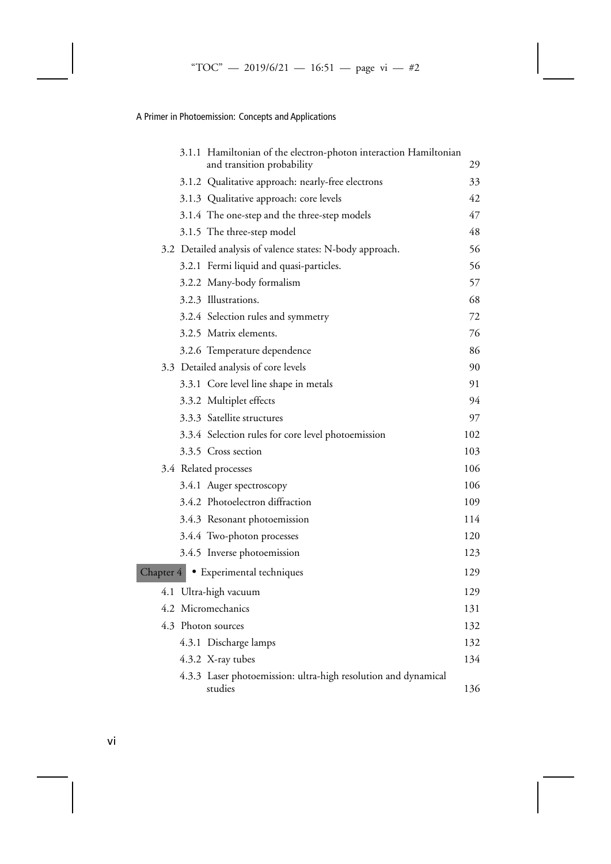|  | 3.1.1 Hamiltonian of the electron-photon interaction Hamiltonian<br>and transition probability | 29  |
|--|------------------------------------------------------------------------------------------------|-----|
|  | 3.1.2 Qualitative approach: nearly-free electrons                                              | 33  |
|  | 3.1.3 Qualitative approach: core levels                                                        | 42  |
|  | 3.1.4 The one-step and the three-step models                                                   | 47  |
|  | 3.1.5 The three-step model                                                                     | 48  |
|  | 3.2 Detailed analysis of valence states: N-body approach.                                      | 56  |
|  | 3.2.1 Fermi liquid and quasi-particles.                                                        | 56  |
|  | 3.2.2 Many-body formalism                                                                      | 57  |
|  | 3.2.3 Illustrations.                                                                           | 68  |
|  | 3.2.4 Selection rules and symmetry                                                             | 72  |
|  | 3.2.5 Matrix elements.                                                                         | 76  |
|  | 3.2.6 Temperature dependence                                                                   | 86  |
|  | 3.3 Detailed analysis of core levels                                                           | 90  |
|  | 3.3.1 Core level line shape in metals                                                          | 91  |
|  | 3.3.2 Multiplet effects                                                                        | 94  |
|  | 3.3.3 Satellite structures                                                                     | 97  |
|  | 3.3.4 Selection rules for core level photoemission                                             | 102 |
|  | 3.3.5 Cross section                                                                            | 103 |
|  | 3.4 Related processes                                                                          | 106 |
|  | 3.4.1 Auger spectroscopy                                                                       | 106 |
|  | 3.4.2 Photoelectron diffraction                                                                | 109 |
|  | 3.4.3 Resonant photoemission                                                                   | 114 |
|  | 3.4.4 Two-photon processes                                                                     | 120 |
|  | 3.4.5 Inverse photoemission                                                                    | 123 |
|  | Chapter 4 • Experimental techniques                                                            | 129 |
|  | 4.1 Ultra-high vacuum                                                                          | 129 |
|  | 4.2 Micromechanics                                                                             | 131 |
|  | 4.3 Photon sources                                                                             | 132 |
|  | 4.3.1 Discharge lamps                                                                          | 132 |
|  | 4.3.2 X-ray tubes                                                                              | 134 |
|  | 4.3.3 Laser photoemission: ultra-high resolution and dynamical<br>studies                      | 136 |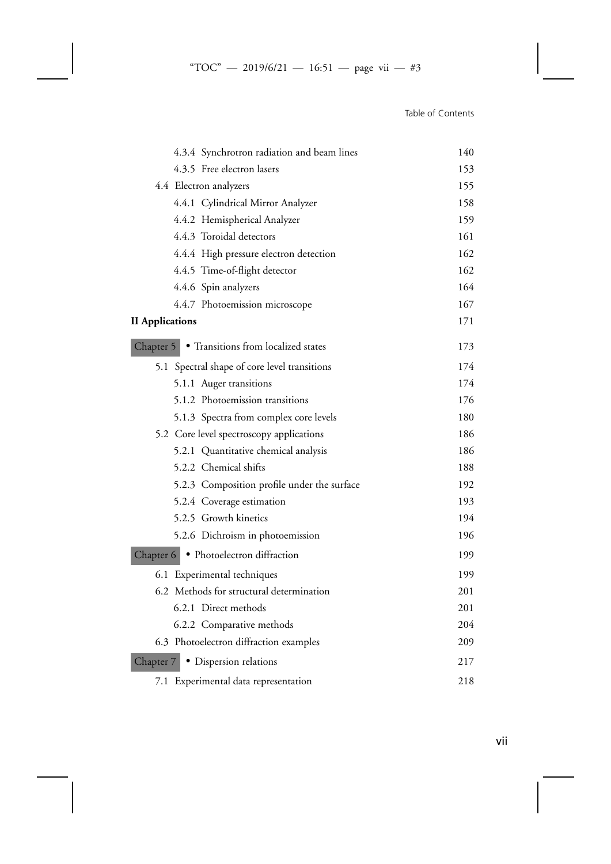| 4.3.4 Synchrotron radiation and beam lines       | 140 |
|--------------------------------------------------|-----|
| 4.3.5 Free electron lasers                       | 153 |
| 4.4 Electron analyzers                           | 155 |
| 4.4.1 Cylindrical Mirror Analyzer                | 158 |
| 4.4.2 Hemispherical Analyzer                     | 159 |
| 4.4.3 Toroidal detectors                         | 161 |
| 4.4.4 High pressure electron detection           | 162 |
| 4.4.5 Time-of-flight detector                    | 162 |
| 4.4.6 Spin analyzers                             | 164 |
| 4.4.7 Photoemission microscope                   | 167 |
| <b>II</b> Applications                           | 171 |
| • Transitions from localized states<br>Chapter 5 | 173 |
| 5.1 Spectral shape of core level transitions     | 174 |
| 5.1.1 Auger transitions                          | 174 |
| 5.1.2 Photoemission transitions                  | 176 |
| 5.1.3 Spectra from complex core levels           | 180 |
| 5.2 Core level spectroscopy applications         | 186 |
| 5.2.1 Quantitative chemical analysis             | 186 |
| 5.2.2 Chemical shifts                            | 188 |
| 5.2.3 Composition profile under the surface      | 192 |
| 5.2.4 Coverage estimation                        | 193 |
| 5.2.5 Growth kinetics                            | 194 |
| 5.2.6 Dichroism in photoemission                 | 196 |
| · Photoelectron diffraction<br>Chapter 6         | 199 |
| 6.1 Experimental techniques                      | 199 |
| 6.2 Methods for structural determination         | 201 |
| 6.2.1 Direct methods                             | 201 |
| 6.2.2 Comparative methods                        | 204 |
| 6.3 Photoelectron diffraction examples           | 209 |
| • Dispersion relations<br>Chapter 7              | 217 |
| 7.1 Experimental data representation             | 218 |